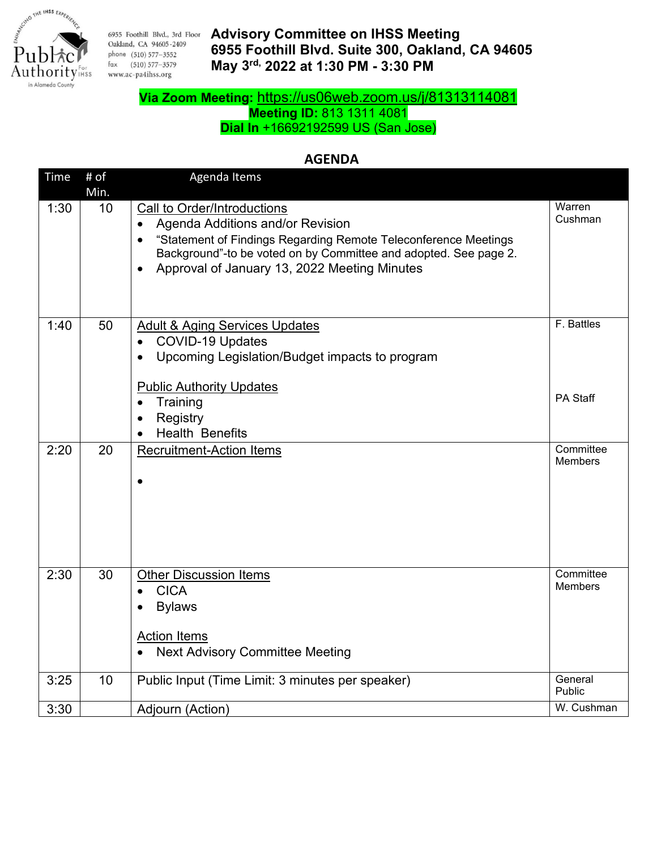

6955 Foothill Blvd., 3rd Floor Oakland, CA 94605-2409 phone (510) 577-3552 fax (510) 577-3579 www.ac-pa4ihss.org

## **Advisory Committee on IHSS Meeting 6955 Foothill Blvd. Suite 300, Oakland, CA 94605 May 3rd, 2022 at 1:30 PM - 3:30 PM**

# **Via Zoom Meeting:** <https://us06web.zoom.us/j/81313114081>

**Meeting ID:** 813 1311 4081

**Dial In** +16692192599 US (San Jose)

## **AGENDA**

| Time | # of<br>Min. | Agenda Items                                                                                                                                                                                                                                                                                  |                             |
|------|--------------|-----------------------------------------------------------------------------------------------------------------------------------------------------------------------------------------------------------------------------------------------------------------------------------------------|-----------------------------|
| 1:30 | 10           | Call to Order/Introductions<br>Agenda Additions and/or Revision<br>$\bullet$<br>"Statement of Findings Regarding Remote Teleconference Meetings<br>$\bullet$<br>Background"-to be voted on by Committee and adopted. See page 2.<br>Approval of January 13, 2022 Meeting Minutes<br>$\bullet$ | Warren<br>Cushman           |
| 1:40 | 50           | <b>Adult &amp; Aging Services Updates</b><br>COVID-19 Updates<br>$\bullet$<br>Upcoming Legislation/Budget impacts to program<br>$\bullet$<br><b>Public Authority Updates</b><br>Training<br>$\bullet$<br>Registry<br>$\bullet$<br><b>Health Benefits</b>                                      | F. Battles<br>PA Staff      |
| 2:20 | 20           | <b>Recruitment-Action Items</b><br>$\bullet$                                                                                                                                                                                                                                                  | Committee<br>Members        |
| 2:30 | 30           | <b>Other Discussion Items</b><br><b>CICA</b><br>$\bullet$<br><b>Bylaws</b><br><b>Action Items</b><br><b>Next Advisory Committee Meeting</b>                                                                                                                                                   | Committee<br><b>Members</b> |
| 3:25 | 10           | Public Input (Time Limit: 3 minutes per speaker)                                                                                                                                                                                                                                              | General<br>Public           |
| 3:30 |              | Adjourn (Action)                                                                                                                                                                                                                                                                              | W. Cushman                  |